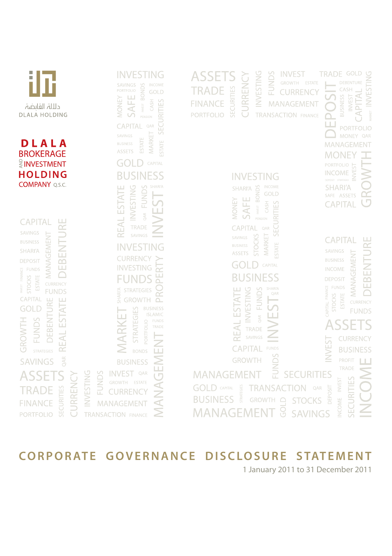

# **CORPORATE GOVERNANCE DISCLOSURE STATEMENT**

1 January 2011 to 31 December 2011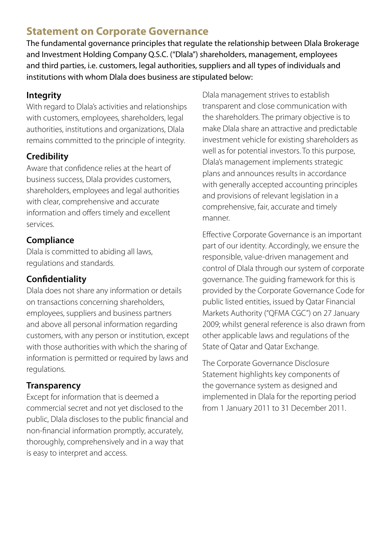# **Statement on Corporate Governance**

The fundamental governance principles that regulate the relationship between Dlala Brokerage and Investment Holding Company Q.S.C. ("Dlala") shareholders, management, employees and third parties, i.e. customers, legal authorities, suppliers and all types of individuals and institutions with whom Dlala does business are stipulated below:

# **Integrity**

With regard to Dlala's activities and relationships with customers, employees, shareholders, legal authorities, institutions and organizations, Dlala remains committed to the principle of integrity.

# **Credibility**

Aware that confidence relies at the heart of business success, Dlala provides customers, shareholders, employees and legal authorities with clear, comprehensive and accurate information and offers timely and excellent services.

# **Compliance**

Dlala is committed to abiding all laws, regulations and standards.

# **Confidentiality**

Dlala does not share any information or details on transactions concerning shareholders, employees, suppliers and business partners and above all personal information regarding customers, with any person or institution, except with those authorities with which the sharing of information is permitted or required by laws and regulations.

# **Transparency**

Except for information that is deemed a commercial secret and not yet disclosed to the public, Dlala discloses to the public financial and non-financial information promptly, accurately, thoroughly, comprehensively and in a way that is easy to interpret and access.

Dlala management strives to establish transparent and close communication with the shareholders. The primary objective is to make Dlala share an attractive and predictable investment vehicle for existing shareholders as well as for potential investors. To this purpose, Dlala's management implements strategic plans and announces results in accordance with generally accepted accounting principles and provisions of relevant legislation in a comprehensive, fair, accurate and timely manner.

Effective Corporate Governance is an important part of our identity. Accordingly, we ensure the responsible, value-driven management and control of Dlala through our system of corporate governance. The guiding framework for this is provided by the Corporate Governance Code for public listed entities, issued by Qatar Financial Markets Authority ("QFMA CGC") on 27 January 2009; whilst general reference is also drawn from other applicable laws and regulations of the State of Qatar and Qatar Exchange.

The Corporate Governance Disclosure Statement highlights key components of the governance system as designed and implemented in Dlala for the reporting period from 1 January 2011 to 31 December 2011.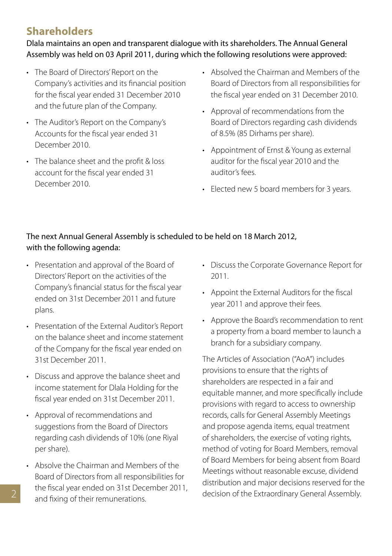# **Shareholders**

Dlala maintains an open and transparent dialogue with its shareholders. The Annual General Assembly was held on 03 April 2011, during which the following resolutions were approved:

- The Board of Directors' Report on the Company's activities and its financial position for the fiscal year ended 31 December 2010 and the future plan of the Company.
- • The Auditor's Report on the Company's Accounts for the fiscal year ended 31 December 2010.
- The balance sheet and the profit & loss account for the fiscal year ended 31 December 2010.
- • Absolved the Chairman and Members of the Board of Directors from all responsibilities for the fiscal year ended on 31 December 2010.
- • Approval of recommendations from the Board of Directors regarding cash dividends of 8.5% (85 Dirhams per share).
- • Appointment of Ernst & Young as external auditor for the fiscal year 2010 and the auditor's fees.
- Elected new 5 board members for 3 years.

# The next Annual General Assembly is scheduled to be held on 18 March 2012, with the following agenda:

- • Presentation and approval of the Board of Directors'Report on the activities of the Company's financial status for the fiscal year ended on 31st December 2011 and future plans.
- • Presentation of the External Auditor's Report on the balance sheet and income statement of the Company for the fiscal year ended on 31st December 2011.
- • Discuss and approve the balance sheet and income statement for Dlala Holding for the fiscal year ended on 31st December 2011.
- • Approval of recommendations and suggestions from the Board of Directors regarding cash dividends of 10% (one Riyal per share).
- • Absolve the Chairman and Members of the Board of Directors from all responsibilities for the fiscal year ended on 31st December 2011, and fixing of their remunerations.
- • Discuss the Corporate Governance Report for 2011.
- • Appoint the External Auditors for the fiscal year 2011 and approve their fees.
- • Approve the Board's recommendation to rent a property from a board member to launch a branch for a subsidiary company.

The Articles of Association ("AoA") includes provisions to ensure that the rights of shareholders are respected in a fair and equitable manner, and more specifically include provisions with regard to access to ownership records, calls for General Assembly Meetings and propose agenda items, equal treatment of shareholders, the exercise of voting rights, method of voting for Board Members, removal of Board Members for being absent from Board Meetings without reasonable excuse, dividend distribution and major decisions reserved for the decision of the Extraordinary General Assembly.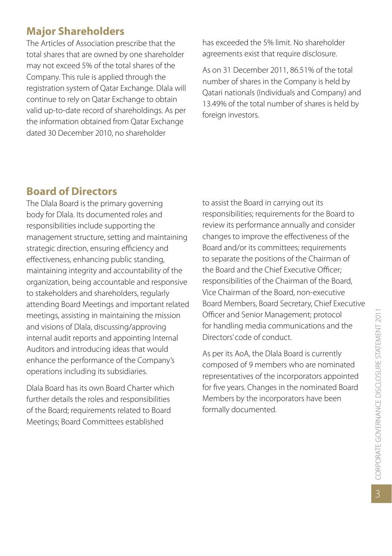# **Major Shareholders**

The Articles of Association prescribe that the total shares that are owned by one shareholder may not exceed 5% of the total shares of the Company. This rule is applied through the registration system of Qatar Exchange. Dlala will continue to rely on Qatar Exchange to obtain valid up-to-date record of shareholdings. As per the information obtained from Qatar Exchange dated 30 December 2010, no shareholder

has exceeded the 5% limit. No shareholder agreements exist that require disclosure.

As on 31 December 2011, 86.51% of the total number of shares in the Company is held by Qatari nationals (Individuals and Company) and 13.49% of the total number of shares is held by foreign investors.

# **Board of Directors**

The Dlala Board is the primary governing body for Dlala. Its documented roles and responsibilities include supporting the management structure, setting and maintaining strategic direction, ensuring efficiency and effectiveness, enhancing public standing, maintaining integrity and accountability of the organization, being accountable and responsive to stakeholders and shareholders, regularly attending Board Meetings and important related meetings, assisting in maintaining the mission and visions of Dlala, discussing/approving internal audit reports and appointing Internal Auditors and introducing ideas that would enhance the performance of the Company's operations including its subsidiaries.

Dlala Board has its own Board Charter which further details the roles and responsibilities of the Board; requirements related to Board Meetings; Board Committees established

to assist the Board in carrying out its responsibilities; requirements for the Board to review its performance annually and consider changes to improve the effectiveness of the Board and/or its committees; requirements to separate the positions of the Chairman of the Board and the Chief Executive Officer; responsibilities of the Chairman of the Board, Vice Chairman of the Board, non-executive Board Members, Board Secretary, Chief Executive Officer and Senior Management; protocol for handling media communications and the Directors' code of conduct.

As per its AoA, the Dlala Board is currently composed of 9 members who are nominated representatives of the incorporators appointed for five years. Changes in the nominated Board Members by the incorporators have been formally documented.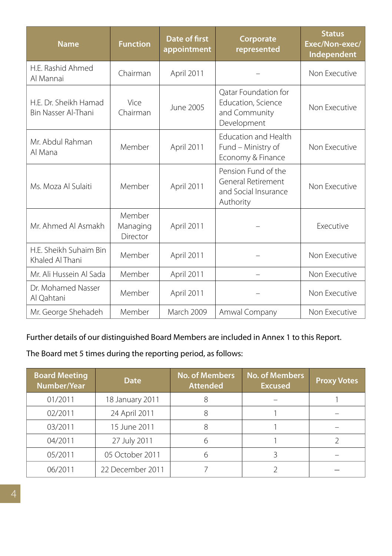| <b>Name</b>                                  | <b>Function</b>                | <b>Date of first</b><br>appointment | Corporate<br>represented                                                       | <b>Status</b><br>Exec/Non-exec/<br>Independent |
|----------------------------------------------|--------------------------------|-------------------------------------|--------------------------------------------------------------------------------|------------------------------------------------|
| H.F. Rashid Ahmed<br>Al Mannai               | Chairman                       | April 2011                          |                                                                                | Non Executive                                  |
| H.F. Dr. Sheikh Hamad<br>Bin Nasser Al-Thani | Vice<br>Chairman               | June 2005                           | Oatar Foundation for<br>Education, Science<br>and Community<br>Development     | Non Executive                                  |
| Mr. Abdul Rahman<br>Al Mana                  | Member                         | April 2011                          | <b>Education and Health</b><br>Fund - Ministry of<br>Economy & Finance         | Non Executive                                  |
| Ms. Moza Al Sulaiti                          | Member                         | April 2011                          | Pension Fund of the<br>General Retirement<br>and Social Insurance<br>Authority | Non Executive                                  |
| Mr. Ahmed Al Asmakh                          | Member<br>Managing<br>Director | April 2011                          |                                                                                | <b>Executive</b>                               |
| H.F. Sheikh Suhaim Bin<br>Khaled Al Thani    | Member                         | April 2011                          |                                                                                | Non Executive                                  |
| Mr. Ali Hussein Al Sada                      | Member                         | April 2011                          |                                                                                | Non Executive                                  |
| Dr. Mohamed Nasser<br>Al Qahtani             | Member                         | April 2011                          |                                                                                | Non Executive                                  |
| Mr. George Shehadeh                          | Member                         | March 2009                          | Amwal Company                                                                  | Non Executive                                  |

Further details of our distinguished Board Members are included in Annex 1 to this Report.

The Board met 5 times during the reporting period, as follows:

| <b>Board Meeting</b><br>Number/Year | <b>Date</b>      | <b>No. of Members</b><br><b>Attended</b> | <b>No. of Members</b><br><b>Excused</b> | <b>Proxy Votes</b> |
|-------------------------------------|------------------|------------------------------------------|-----------------------------------------|--------------------|
| 01/2011                             | 18 January 2011  |                                          |                                         |                    |
| 02/2011                             | 24 April 2011    | 8                                        |                                         |                    |
| 03/2011                             | 15 June 2011     | 8                                        |                                         |                    |
| 04/2011                             | 27 July 2011     |                                          |                                         |                    |
| 05/2011                             | 05 October 2011  |                                          |                                         |                    |
| 06/2011                             | 22 December 2011 |                                          |                                         |                    |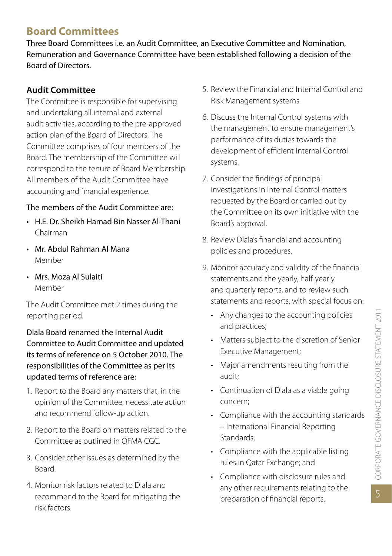# **Board Committees**

Three Board Committees i.e. an Audit Committee, an Executive Committee and Nomination, Remuneration and Governance Committee have been established following a decision of the Board of Directors.

# **Audit Committee**

The Committee is responsible for supervising and undertaking all internal and external audit activities, according to the pre-approved action plan of the Board of Directors. The Committee comprises of four members of the Board. The membership of the Committee will correspond to the tenure of Board Membership. All members of the Audit Committee have accounting and financial experience.

### The members of the Audit Committee are:

- • H.E. Dr. Sheikh Hamad Bin Nasser Al-Thani Chairman
- • Mr. Abdul Rahman Al Mana Member
- • Mrs. Moza Al Sulaiti Member

The Audit Committee met 2 times during the reporting period.

Dlala Board renamed the Internal Audit Committee to Audit Committee and updated its terms of reference on 5 October 2010. The responsibilities of the Committee as per its updated terms of reference are:

- 1. Report to the Board any matters that, in the opinion of the Committee, necessitate action and recommend follow-up action.
- 2. Report to the Board on matters related to the Committee as outlined in QFMA CGC.
- 3. Consider other issues as determined by the Board.
- 4. Monitor risk factors related to Dlala and recommend to the Board for mitigating the risk factors.
- 5. Review the Financial and Internal Control and Risk Management systems.
- 6. Discuss the Internal Control systems with the management to ensure management's performance of its duties towards the development of efficient Internal Control systems.
- 7. Consider the findings of principal investigations in Internal Control matters requested by the Board or carried out by the Committee on its own initiative with the Board's approval.
- 8. Review Dlala's financial and accounting policies and procedures.
- 9. Monitor accuracy and validity of the financial statements and the yearly, half-yearly and quarterly reports, and to review such statements and reports, with special focus on:
	- • Any changes to the accounting policies and practices;
	- • Matters subject to the discretion of Senior Executive Management;
	- • Major amendments resulting from the audit;
	- • Continuation of Dlala as a viable going concern;
	- • Compliance with the accounting standards – International Financial Reporting Standards;
	- • Compliance with the applicable listing rules in Qatar Exchange; and
	- • Compliance with disclosure rules and any other requirements relating to the preparation of financial reports.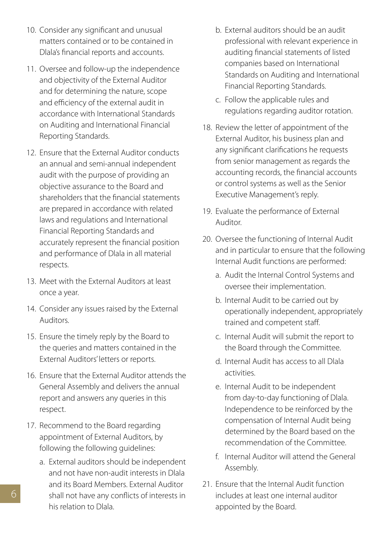- 10. Consider any significant and unusual matters contained or to be contained in Dlala's financial reports and accounts.
- 11. Oversee and follow-up the independence and objectivity of the External Auditor and for determining the nature, scope and efficiency of the external audit in accordance with International Standards on Auditing and International Financial Reporting Standards.
- 12. Ensure that the External Auditor conducts an annual and semi-annual independent audit with the purpose of providing an objective assurance to the Board and shareholders that the financial statements are prepared in accordance with related laws and regulations and International Financial Reporting Standards and accurately represent the financial position and performance of Dlala in all material respects.
- 13. Meet with the External Auditors at least once a year.
- 14. Consider any issues raised by the External Auditors.
- 15. Ensure the timely reply by the Board to the queries and matters contained in the External Auditors' letters or reports.
- 16. Ensure that the External Auditor attends the General Assembly and delivers the annual report and answers any queries in this respect.
- 17. Recommend to the Board regarding appointment of External Auditors, by following the following guidelines:
	- a. External auditors should be independent and not have non-audit interests in Dlala and its Board Members. External Auditor shall not have any conflicts of interests in his relation to Dlala.
- b. External auditors should be an audit professional with relevant experience in auditing financial statements of listed companies based on International Standards on Auditing and International Financial Reporting Standards.
- c. Follow the applicable rules and regulations regarding auditor rotation.
- 18. Review the letter of appointment of the External Auditor, his business plan and any significant clarifications he requests from senior management as regards the accounting records, the financial accounts or control systems as well as the Senior Executive Management's reply.
- 19. Evaluate the performance of External Auditor.
- 20. Oversee the functioning of Internal Audit and in particular to ensure that the following Internal Audit functions are performed:
	- a. Audit the Internal Control Systems and oversee their implementation.
	- b. Internal Audit to be carried out by operationally independent, appropriately trained and competent staff.
	- c. Internal Audit will submit the report to the Board through the Committee.
	- d. Internal Audit has access to all Dlala activities.
	- e. Internal Audit to be independent from day-to-day functioning of Dlala. Independence to be reinforced by the compensation of Internal Audit being determined by the Board based on the recommendation of the Committee.
	- f. Internal Auditor will attend the General Assembly.
- 21. Ensure that the Internal Audit function includes at least one internal auditor appointed by the Board.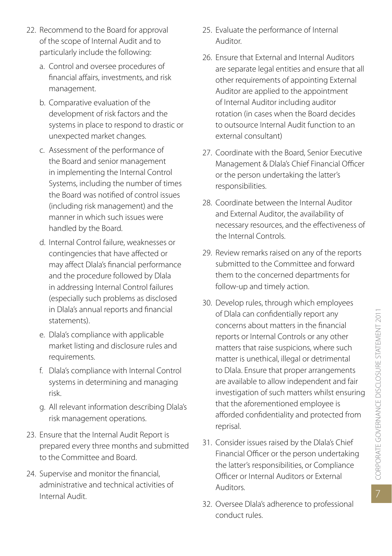- 22. Recommend to the Board for approval of the scope of Internal Audit and to particularly include the following:
	- a. Control and oversee procedures of financial affairs, investments, and risk management.
	- b. Comparative evaluation of the development of risk factors and the systems in place to respond to drastic or unexpected market changes.
	- c. Assessment of the performance of the Board and senior management in implementing the Internal Control Systems, including the number of times the Board was notified of control issues (including risk management) and the manner in which such issues were handled by the Board.
	- d. Internal Control failure, weaknesses or contingencies that have affected or may affect Dlala's financial performance and the procedure followed by Dlala in addressing Internal Control failures (especially such problems as disclosed in Dlala's annual reports and financial statements).
	- e. Dlala's compliance with applicable market listing and disclosure rules and requirements.
	- f. Dlala's compliance with Internal Control systems in determining and managing risk.
	- g. All relevant information describing Dlala's risk management operations.
- 23. Ensure that the Internal Audit Report is prepared every three months and submitted to the Committee and Board.
- 24. Supervise and monitor the financial, administrative and technical activities of Internal Audit.
- 25. Evaluate the performance of Internal Auditor.
- 26. Ensure that External and Internal Auditors are separate legal entities and ensure that all other requirements of appointing External Auditor are applied to the appointment of Internal Auditor including auditor rotation (in cases when the Board decides to outsource Internal Audit function to an external consultant)
- 27. Coordinate with the Board, Senior Executive Management & Dlala's Chief Financial Officer or the person undertaking the latter's responsibilities.
- 28. Coordinate between the Internal Auditor and External Auditor, the availability of necessary resources, and the effectiveness of the Internal Controls.
- 29. Review remarks raised on any of the reports submitted to the Committee and forward them to the concerned departments for follow-up and timely action.
- 30. Develop rules, through which employees of Dlala can confidentially report any concerns about matters in the financial reports or Internal Controls or any other matters that raise suspicions, where such matter is unethical, illegal or detrimental to Dlala. Ensure that proper arrangements are available to allow independent and fair investigation of such matters whilst ensuring that the aforementioned employee is afforded confidentiality and protected from reprisal.
- 31. Consider issues raised by the Dlala's Chief Financial Officer or the person undertaking the latter's responsibilities, or Compliance Officer or Internal Auditors or External Auditors.
- 32. Oversee Dlala's adherence to professional conduct rules.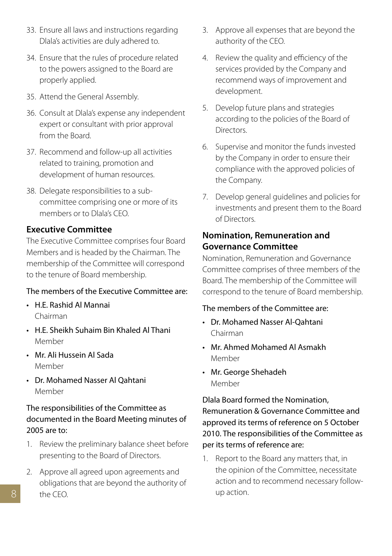- 33. Ensure all laws and instructions regarding Dlala's activities are duly adhered to.
- 34. Ensure that the rules of procedure related to the powers assigned to the Board are properly applied.
- 35. Attend the General Assembly.
- 36. Consult at Dlala's expense any independent expert or consultant with prior approval from the Board.
- 37. Recommend and follow-up all activities related to training, promotion and development of human resources.
- 38. Delegate responsibilities to a subcommittee comprising one or more of its members or to Dlala's CEO.

#### **Executive Committee**

The Executive Committee comprises four Board Members and is headed by the Chairman. The membership of the Committee will correspond to the tenure of Board membership.

#### The members of the Executive Committee are:

- • H.E. Rashid Al Mannai Chairman
- • H.E. Sheikh Suhaim Bin Khaled Al Thani Member
- • Mr. Ali Hussein Al Sada Member
- • Dr. Mohamed Nasser Al Qahtani Member

#### The responsibilities of the Committee as documented in the Board Meeting minutes of 2005 are to:

- 1. Review the preliminary balance sheet before presenting to the Board of Directors.
- 2. Approve all agreed upon agreements and obligations that are beyond the authority of the CEO.
- 3. Approve all expenses that are beyond the authority of the CEO.
- 4. Review the quality and efficiency of the services provided by the Company and recommend ways of improvement and development.
- 5. Develop future plans and strategies according to the policies of the Board of **Directors**
- 6. Supervise and monitor the funds invested by the Company in order to ensure their compliance with the approved policies of the Company.
- 7. Develop general guidelines and policies for investments and present them to the Board of Directors.

#### **Nomination, Remuneration and Governance Committee**

Nomination, Remuneration and Governance Committee comprises of three members of the Board. The membership of the Committee will correspond to the tenure of Board membership.

#### The members of the Committee are:

- • Dr. Mohamed Nasser Al-Qahtani Chairman
- • Mr. Ahmed Mohamed Al Asmakh Member
- • Mr. George Shehadeh Member

Dlala Board formed the Nomination, Remuneration & Governance Committee and approved its terms of reference on 5 October 2010. The responsibilities of the Committee as per its terms of reference are:

1. Report to the Board any matters that, in the opinion of the Committee, necessitate action and to recommend necessary followup action.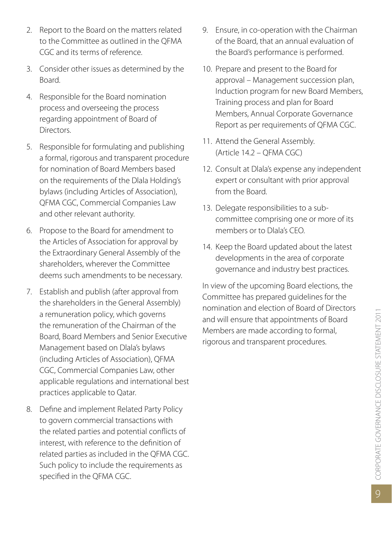- 2. Report to the Board on the matters related to the Committee as outlined in the QFMA CGC and its terms of reference.
- 3. Consider other issues as determined by the Board.
- 4. Responsible for the Board nomination process and overseeing the process regarding appointment of Board of **Directors**
- 5. Responsible for formulating and publishing a formal, rigorous and transparent procedure for nomination of Board Members based on the requirements of the Dlala Holding's bylaws (including Articles of Association), QFMA CGC, Commercial Companies Law and other relevant authority.
- 6. Propose to the Board for amendment to the Articles of Association for approval by the Extraordinary General Assembly of the shareholders, wherever the Committee deems such amendments to be necessary.
- 7. Establish and publish (after approval from the shareholders in the General Assembly) a remuneration policy, which governs the remuneration of the Chairman of the Board, Board Members and Senior Executive Management based on Dlala's bylaws (including Articles of Association), QFMA CGC, Commercial Companies Law, other applicable regulations and international best practices applicable to Qatar.
- 8. Define and implement Related Party Policy to govern commercial transactions with the related parties and potential conflicts of interest, with reference to the definition of related parties as included in the QFMA CGC. Such policy to include the requirements as specified in the QFMA CGC.
- 9. Ensure, in co-operation with the Chairman of the Board, that an annual evaluation of the Board's performance is performed.
- 10. Prepare and present to the Board for approval – Management succession plan, Induction program for new Board Members, Training process and plan for Board Members, Annual Corporate Governance Report as per requirements of QFMA CGC.
- 11. Attend the General Assembly. (Article 14.2 – QFMA CGC)
- 12. Consult at Dlala's expense any independent expert or consultant with prior approval from the Board.
- 13. Delegate responsibilities to a subcommittee comprising one or more of its members or to Dlala's CEO.
- 14. Keep the Board updated about the latest developments in the area of corporate governance and industry best practices.

In view of the upcoming Board elections, the Committee has prepared guidelines for the nomination and election of Board of Directors and will ensure that appointments of Board Members are made according to formal, rigorous and transparent procedures.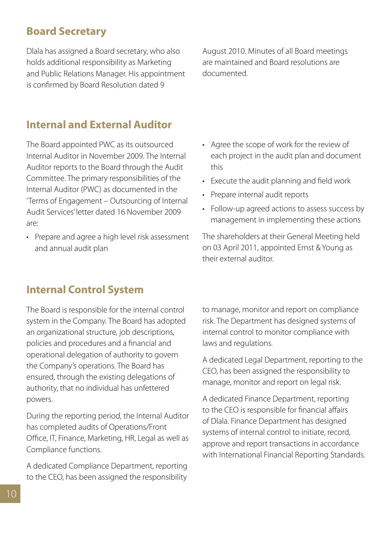# **Board Secretary**

Dlala has assigned a Board secretary, who also holds additional responsibility as Marketing and Public Relations Manager. His appointment is confirmed by Board Resolution dated 9

August 2010. Minutes of all Board meetings are maintained and Board resolutions are documented.

# **Internal and External Auditor**

The Board appointed PWC as its outsourced Internal Auditor in November 2009. The Internal Auditor reports to the Board through the Audit Committee. The primary responsibilities of the Internal Auditor (PWC) as documented in the 'Terms of Engagement – Outsourcing of Internal Audit Services' letter dated 16 November 2009 are:

• Prepare and agree a high level risk assessment and annual audit plan

- • Agree the scope of work for the review of each project in the audit plan and document this
- • Execute the audit planning and field work
- Prepare internal audit reports
- Follow-up agreed actions to assess success by management in implementing these actions

The shareholders at their General Meeting held on 03 April 2011, appointed Ernst & Young as their external auditor.

# **Internal Control System**

The Board is responsible for the internal control system in the Company. The Board has adopted an organizational structure, job descriptions, policies and procedures and a financial and operational delegation of authority to govern the Company's operations. The Board has ensured, through the existing delegations of authority, that no individual has unfettered powers.

During the reporting period, the Internal Auditor has completed audits of Operations/Front Office, IT, Finance, Marketing, HR, Legal as well as Compliance functions.

A dedicated Compliance Department, reporting to the CEO, has been assigned the responsibility to manage, monitor and report on compliance risk. The Department has designed systems of internal control to monitor compliance with laws and regulations.

A dedicated Legal Department, reporting to the CEO, has been assigned the responsibility to manage, monitor and report on legal risk.

A dedicated Finance Department, reporting to the CEO is responsible for financial affairs of Dlala. Finance Department has designed systems of internal control to initiate, record, approve and report transactions in accordance with International Financial Reporting Standards.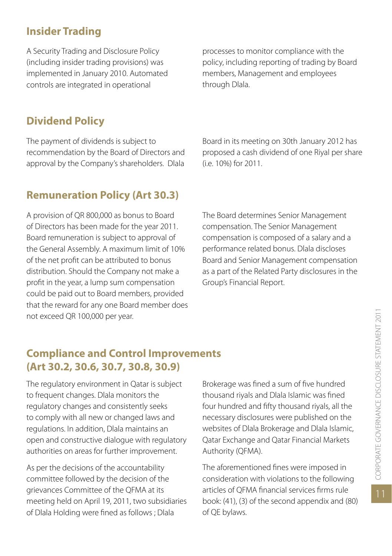# **Insider Trading**

A Security Trading and Disclosure Policy (including insider trading provisions) was implemented in January 2010. Automated controls are integrated in operational

processes to monitor compliance with the policy, including reporting of trading by Board members, Management and employees through Dlala.

# **Dividend Policy**

The payment of dividends is subject to recommendation by the Board of Directors and approval by the Company's shareholders. Dlala

# **Remuneration Policy (Art 30.3)**

A provision of QR 800,000 as bonus to Board of Directors has been made for the year 2011. Board remuneration is subject to approval of the General Assembly. A maximum limit of 10% of the net profit can be attributed to bonus distribution. Should the Company not make a profit in the year, a lump sum compensation could be paid out to Board members, provided that the reward for any one Board member does not exceed QR 100,000 per year.

Board in its meeting on 30th January 2012 has proposed a cash dividend of one Riyal per share (i.e. 10%) for 2011.

The Board determines Senior Management compensation. The Senior Management compensation is composed of a salary and a performance related bonus. Dlala discloses Board and Senior Management compensation as a part of the Related Party disclosures in the Group's Financial Report.

# **Compliance and Control Improvements (Art 30.2, 30.6, 30.7, 30.8, 30.9)**

The regulatory environment in Qatar is subject to frequent changes. Dlala monitors the regulatory changes and consistently seeks to comply with all new or changed laws and regulations. In addition, Dlala maintains an open and constructive dialogue with regulatory authorities on areas for further improvement.

As per the decisions of the accountability committee followed by the decision of the grievances Committee of the QFMA at its meeting held on April 19, 2011, two subsidiaries of Dlala Holding were fined as follows ; Dlala

Brokerage was fined a sum of five hundred thousand riyals and Dlala Islamic was fined four hundred and fifty thousand riyals, all the necessary disclosures were published on the websites of Dlala Brokerage and Dlala Islamic, Qatar Exchange and Qatar Financial Markets Authority (QFMA).

The aforementioned fines were imposed in consideration with violations to the following articles of QFMA financial services firms rule book: (41), (3) of the second appendix and (80) of QE bylaws.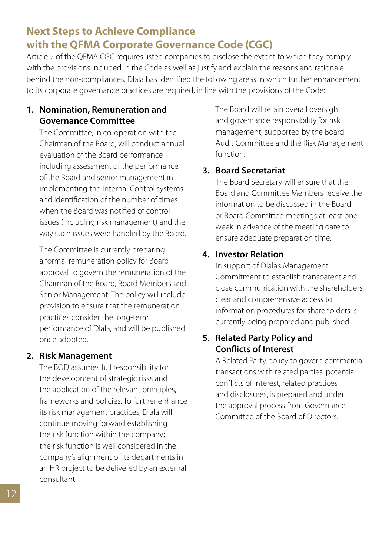# **Next Steps to Achieve Compliance with the QFMA Corporate Governance Code (CGC)**

Article 2 of the QFMA CGC requires listed companies to disclose the extent to which they comply with the provisions included in the Code as well as justify and explain the reasons and rationale behind the non-compliances. Dlala has identified the following areas in which further enhancement to its corporate governance practices are required, in line with the provisions of the Code:

#### **1. Nomination, Remuneration and Governance Committee**

The Committee, in co-operation with the Chairman of the Board, will conduct annual evaluation of the Board performance including assessment of the performance of the Board and senior management in implementing the Internal Control systems and identification of the number of times when the Board was notified of control issues (including risk management) and the way such issues were handled by the Board.

The Committee is currently preparing a formal remuneration policy for Board approval to govern the remuneration of the Chairman of the Board, Board Members and Senior Management. The policy will include provision to ensure that the remuneration practices consider the long-term performance of Dlala, and will be published once adopted.

#### **2. Risk Management**

 The BOD assumes full responsibility for the development of strategic risks and the application of the relevant principles, frameworks and policies. To further enhance its risk management practices, Dlala will continue moving forward establishing the risk function within the company; the risk function is well considered in the company's alignment of its departments in an HR project to be delivered by an external consultant.

 The Board will retain overall oversight and governance responsibility for risk management, supported by the Board Audit Committee and the Risk Management function.

# **3. Board Secretariat**

 The Board Secretary will ensure that the Board and Committee Members receive the information to be discussed in the Board or Board Committee meetings at least one week in advance of the meeting date to ensure adequate preparation time.

# **4. Investor Relation**

In support of Dlala's Management Commitment to establish transparent and close communication with the shareholders, clear and comprehensive access to information procedures for shareholders is currently being prepared and published.

# **5. Related Party Policy and Conflicts of Interest**

 A Related Party policy to govern commercial transactions with related parties, potential conflicts of interest, related practices and disclosures, is prepared and under the approval process from Governance Committee of the Board of Directors.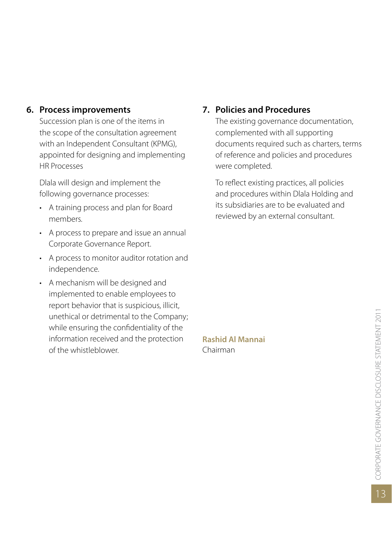#### **6. Process improvements**

Succession plan is one of the items in the scope of the consultation agreement with an Independent Consultant (KPMG), appointed for designing and implementing HR Processes

Dlala will design and implement the following governance processes:

- • A training process and plan for Board members.
- • A process to prepare and issue an annual Corporate Governance Report.
- • A process to monitor auditor rotation and independence.
- • A mechanism will be designed and implemented to enable employees to report behavior that is suspicious, illicit, unethical or detrimental to the Company; while ensuring the confidentiality of the information received and the protection of the whistleblower.

# **7. Policies and Procedures**

The existing governance documentation, complemented with all supporting documents required such as charters, terms of reference and policies and procedures were completed.

To reflect existing practices, all policies and procedures within Dlala Holding and its subsidiaries are to be evaluated and reviewed by an external consultant.

**Rashid Al Mannai** Chairman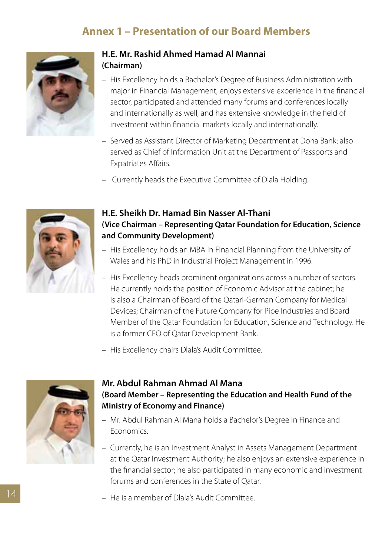# **Annex 1 – Presentation of our Board Members**



# **H.E. Mr. Rashid Ahmed Hamad Al Mannai (Chairman)**

- His Excellency holds a Bachelor's Degree of Business Administration with major in Financial Management, enjoys extensive experience in the financial sector, participated and attended many forums and conferences locally and internationally as well, and has extensive knowledge in the field of investment within financial markets locally and internationally.
- Served as Assistant Director of Marketing Department at Doha Bank; also served as Chief of Information Unit at the Department of Passports and Expatriates Affairs.
- Currently heads the Executive Committee of Dlala Holding.



### **H.E. Sheikh Dr. Hamad Bin Nasser Al-Thani (Vice Chairman – Representing Qatar Foundation for Education, Science and Community Development)**

- His Excellency holds an MBA in Financial Planning from the University of Wales and his PhD in Industrial Project Management in 1996.
- His Excellency heads prominent organizations across a number of sectors. He currently holds the position of Economic Advisor at the cabinet; he is also a Chairman of Board of the Qatari-German Company for Medical Devices; Chairman of the Future Company for Pipe Industries and Board Member of the Qatar Foundation for Education, Science and Technology. He is a former CEO of Qatar Development Bank.
- His Excellency chairs Dlala's Audit Committee.



### **Mr. Abdul Rahman Ahmad Al Mana (Board Member – Representing the Education and Health Fund of the Ministry of Economy and Finance)**

- Mr. Abdul Rahman Al Mana holds a Bachelor's Degree in Finance and Economics.
- Currently, he is an Investment Analyst in Assets Management Department at the Qatar Investment Authority; he also enjoys an extensive experience in the financial sector; he also participated in many economic and investment forums and conferences in the State of Qatar.
- He is a member of Dlala's Audit Committee.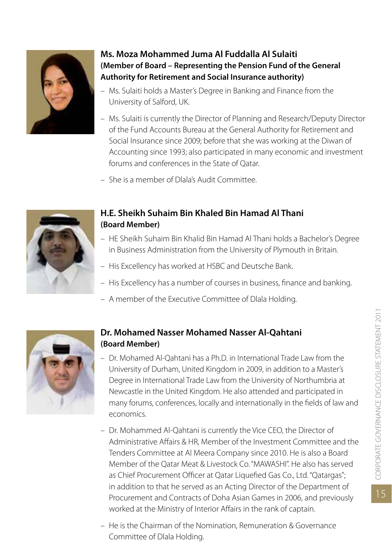

### **Ms. Moza Mohammed Juma Al Fuddalla Al Sulaiti (Member of Board – Representing the Pension Fund of the General Authority for Retirement and Social Insurance authority)**

- Ms. Sulaiti holds a Master's Degree in Banking and Finance from the University of Salford, UK.
- Ms. Sulaiti is currently the Director of Planning and Research/Deputy Director of the Fund Accounts Bureau at the General Authority for Retirement and Social Insurance since 2009; before that she was working at the Diwan of Accounting since 1993; also participated in many economic and investment forums and conferences in the State of Qatar.
- She is a member of Dlala's Audit Committee.



### **H.E. Sheikh Suhaim Bin Khaled Bin Hamad Al Thani (Board Member)**

- HE Sheikh Suhaim Bin Khalid Bin Hamad Al Thani holds a Bachelor's Degree in Business Administration from the University of Plymouth in Britain.
- His Excellency has worked at HSBC and Deutsche Bank.
- His Excellency has a number of courses in business, finance and banking.
- A member of the Executive Committee of Dlala Holding.



### **Dr. Mohamed Nasser Mohamed Nasser Al-Qahtani (Board Member)**

- $-$  Dr. Mohamed Al-Qahtani has a Ph.D. in International Trade Law from the University of Durham, United Kingdom in 2009, in addition to a Master's Degree in International Trade Law from the University of Northumbria at Newcastle in the United Kingdom. He also attended and participated in many forums, conferences, locally and internationally in the fields of law and economics.
- Dr. Mohammed Al-Oahtani is currently the Vice CEO, the Director of Administrative Affairs & HR, Member of the Investment Committee and the Tenders Committee at Al Meera Company since 2010. He is also a Board Member of the Qatar Meat & Livestock Co."MAWASHI". He also has served as Chief Procurement Officer at Qatar Liquefied Gas Co., Ltd."Qatargas"; in addition to that he served as an Acting Director of the Department of Procurement and Contracts of Doha Asian Games in 2006, and previously worked at the Ministry of Interior Affairs in the rank of captain.
- He is the Chairman of the Nomination, Remuneration & Governance Committee of Dlala Holding.

15